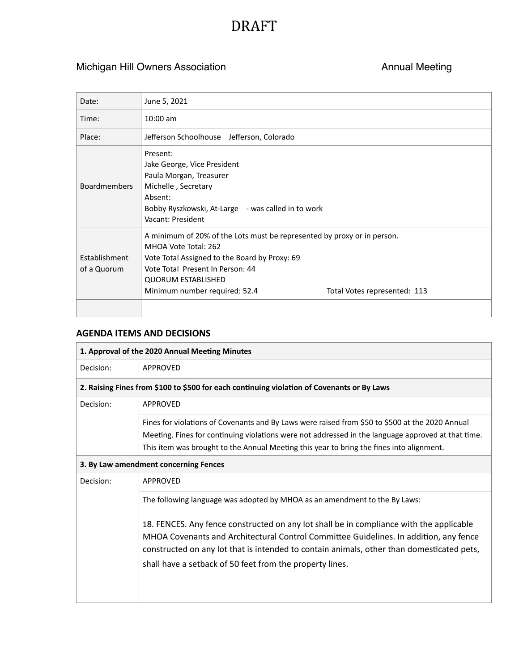## DRAFT

## Michigan Hill Owners Association **Annual Meeting** Annual Meeting

| Date:                        | June 5, 2021                                                                                                                                                                                                                                                                       |
|------------------------------|------------------------------------------------------------------------------------------------------------------------------------------------------------------------------------------------------------------------------------------------------------------------------------|
| Time:                        | $10:00$ am                                                                                                                                                                                                                                                                         |
| Place:                       | Jefferson Schoolhouse Jefferson, Colorado                                                                                                                                                                                                                                          |
| <b>Boardmembers</b>          | Present:<br>Jake George, Vice President<br>Paula Morgan, Treasurer<br>Michelle, Secretary<br>Absent:<br>Bobby Ryszkowski, At-Large - was called in to work<br>Vacant: President                                                                                                    |
| Establishment<br>of a Quorum | A minimum of 20% of the Lots must be represented by proxy or in person.<br>MHOA Vote Total: 262<br>Vote Total Assigned to the Board by Proxy: 69<br>Vote Total Present In Person: 44<br><b>QUORUM ESTABLISHED</b><br>Minimum number required: 52.4<br>Total Votes represented: 113 |
|                              |                                                                                                                                                                                                                                                                                    |

## **AGENDA ITEMS AND DECISIONS**

| 1. Approval of the 2020 Annual Meeting Minutes                                             |                                                                                                                                                                                                                                                                                                                                                                                                                         |  |
|--------------------------------------------------------------------------------------------|-------------------------------------------------------------------------------------------------------------------------------------------------------------------------------------------------------------------------------------------------------------------------------------------------------------------------------------------------------------------------------------------------------------------------|--|
| Decision:                                                                                  | APPROVED                                                                                                                                                                                                                                                                                                                                                                                                                |  |
| 2. Raising Fines from \$100 to \$500 for each continuing violation of Covenants or By Laws |                                                                                                                                                                                                                                                                                                                                                                                                                         |  |
| Decision:                                                                                  | <b>APPROVED</b>                                                                                                                                                                                                                                                                                                                                                                                                         |  |
|                                                                                            | Fines for violations of Covenants and By Laws were raised from \$50 to \$500 at the 2020 Annual<br>Meeting. Fines for continuing violations were not addressed in the language approved at that time.<br>This item was brought to the Annual Meeting this year to bring the fines into alignment.                                                                                                                       |  |
| 3. By Law amendment concerning Fences                                                      |                                                                                                                                                                                                                                                                                                                                                                                                                         |  |
| Decision:                                                                                  | <b>APPROVED</b>                                                                                                                                                                                                                                                                                                                                                                                                         |  |
|                                                                                            | The following language was adopted by MHOA as an amendment to the By Laws:<br>18. FENCES. Any fence constructed on any lot shall be in compliance with the applicable<br>MHOA Covenants and Architectural Control Committee Guidelines. In addition, any fence<br>constructed on any lot that is intended to contain animals, other than domesticated pets,<br>shall have a setback of 50 feet from the property lines. |  |